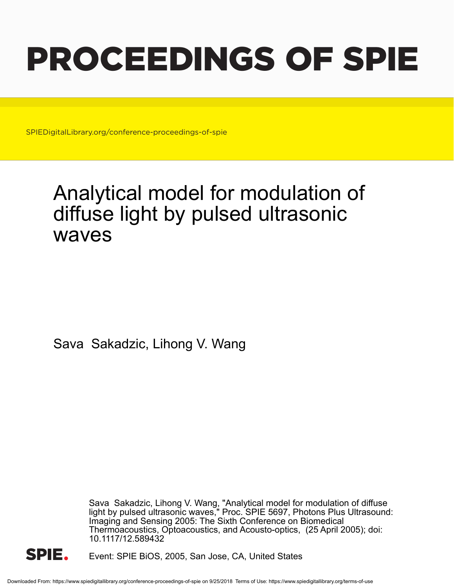# PROCEEDINGS OF SPIE

SPIEDigitalLibrary.org/conference-proceedings-of-spie

## Analytical model for modulation of diffuse light by pulsed ultrasonic waves

Sava Sakadzic, Lihong V. Wang

Sava Sakadzic, Lihong V. Wang, "Analytical model for modulation of diffuse light by pulsed ultrasonic waves," Proc. SPIE 5697, Photons Plus Ultrasound: Imaging and Sensing 2005: The Sixth Conference on Biomedical Thermoacoustics, Optoacoustics, and Acousto-optics, (25 April 2005); doi: 10.1117/12.589432



Event: SPIE BiOS, 2005, San Jose, CA, United States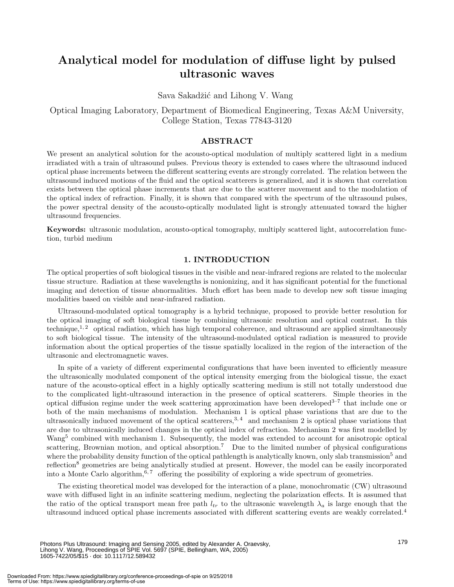### **Analytical model for modulation of diffuse light by pulsed ultrasonic waves**

Sava Sakadžić and Lihong V. Wang

Optical Imaging Laboratory, Department of Biomedical Engineering, Texas A&M University, College Station, Texas 77843-3120

#### **ABSTRACT**

We present an analytical solution for the acousto-optical modulation of multiply scattered light in a medium irradiated with a train of ultrasound pulses. Previous theory is extended to cases where the ultrasound induced optical phase increments between the different scattering events are strongly correlated. The relation between the ultrasound induced motions of the fluid and the optical scatterers is generalized, and it is shown that correlation exists between the optical phase increments that are due to the scatterer movement and to the modulation of the optical index of refraction. Finally, it is shown that compared with the spectrum of the ultrasound pulses, the power spectral density of the acousto-optically modulated light is strongly attenuated toward the higher ultrasound frequencies.

**Keywords:** ultrasonic modulation, acousto-optical tomography, multiply scattered light, autocorrelation function, turbid medium

#### **1. INTRODUCTION**

The optical properties of soft biological tissues in the visible and near-infrared regions are related to the molecular tissue structure. Radiation at these wavelengths is nonionizing, and it has significant potential for the functional imaging and detection of tissue abnormalities. Much effort has been made to develop new soft tissue imaging modalities based on visible and near-infrared radiation.

Ultrasound-modulated optical tomography is a hybrid technique, proposed to provide better resolution for the optical imaging of soft biological tissue by combining ultrasonic resolution and optical contrast. In this technique,<sup>1,2</sup> optical radiation, which has high temporal coherence, and ultrasound are applied simultaneously to soft biological tissue. The intensity of the ultrasound-modulated optical radiation is measured to provide information about the optical properties of the tissue spatially localized in the region of the interaction of the ultrasonic and electromagnetic waves.

In spite of a variety of different experimental configurations that have been invented to efficiently measure the ultrasonically modulated component of the optical intensity emerging from the biological tissue, the exact nature of the acousto-optical effect in a highly optically scattering medium is still not totally understood due to the complicated light-ultrasound interaction in the presence of optical scatterers. Simple theories in the optical diffusion regime under the week scattering approximation have been developed<sup>3–7</sup> that include one or both of the main mechanisms of modulation. Mechanism 1 is optical phase variations that are due to the ultrasonically induced movement of the optical scatterers,  $3, 4$  and mechanism 2 is optical phase variations that are due to ultrasonically induced changes in the optical index of refraction. Mechanism 2 was first modelled by Wang<sup>5</sup> combined with mechanism 1. Subsequently, the model was extended to account for anisotropic optical scattering, Brownian motion, and optical absorption.<sup>7</sup> Due to the limited number of physical configurations where the probability density function of the optical pathlength is analytically known, only slab transmission<sup>5</sup> and reflection<sup>8</sup> geometries are being analytically studied at present. However, the model can be easily incorporated into a Monte Carlo algorithm,  $6, 7$  offering the possibility of exploring a wide spectrum of geometries.

The existing theoretical model was developed for the interaction of a plane, monochromatic (CW) ultrasound wave with diffused light in an infinite scattering medium, neglecting the polarization effects. It is assumed that the ratio of the optical transport mean free path  $l_{tr}$  to the ultrasonic wavelength  $\lambda_a$  is large enough that the ultrasound induced optical phase increments associated with different scattering events are weakly correlated.<sup>4</sup>

Photons Plus Ultrasound: Imaging and Sensing 2005, edited by Alexander A. Oraevsky, Lihong V. Wang, Proceedings of SPIE Vol. 5697 (SPIE, Bellingham, WA, 2005) 1605-7422/05/\$15 · doi: 10.1117/12.589432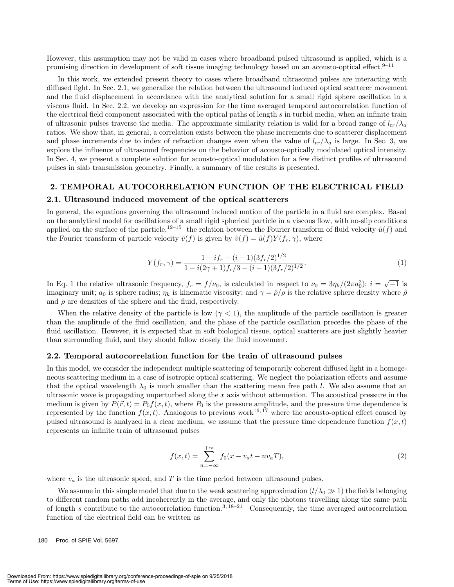However, this assumption may not be valid in cases where broadband pulsed ultrasound is applied, which is a promising direction in development of soft tissue imaging technology based on an acousto-optical effect.<sup>9–11</sup>

In this work, we extended present theory to cases where broadband ultrasound pulses are interacting with diffused light. In Sec. 2.1, we generalize the relation between the ultrasound induced optical scatterer movement and the fluid displacement in accordance with the analytical solution for a small rigid sphere oscillation in a viscous fluid. In Sec. 2.2, we develop an expression for the time averaged temporal autocorrelation function of the electrical field component associated with the optical paths of length s in turbid media, when an infinite train of ultrasonic pulses traverse the media. The approximate similarity relation is valid for a broad range of  $l_{tr}/\lambda_a$ ratios. We show that, in general, a correlation exists between the phase increments due to scatterer displacement and phase increments due to index of refraction changes even when the value of  $l_{tr}/\lambda_a$  is large. In Sec. 3, we explore the influence of ultrasound frequencies on the behavior of acousto-optically modulated optical intensity. In Sec. 4, we present a complete solution for acousto-optical modulation for a few distinct profiles of ultrasound pulses in slab transmission geometry. Finally, a summary of the results is presented.

#### **2. TEMPORAL AUTOCORRELATION FUNCTION OF THE ELECTRICAL FIELD**

#### **2.1. Ultrasound induced movement of the optical scatterers**

In general, the equations governing the ultrasound induced motion of the particle in a fluid are complex. Based on the analytical model for oscillations of a small rigid spherical particle in a viscous flow, with no-slip conditions applied on the surface of the particle,<sup>12–15</sup> the relation between the Fourier transform of fluid velocity  $\tilde{u}(f)$  and the Fourier transform of particle velocity  $\tilde{v}(f)$  is given by  $\tilde{v}(f)=\tilde{u}(f)Y(f_r, \gamma)$ , where

$$
Y(f_r, \gamma) = \frac{1 - if_r - (i - 1)(3f_r/2)^{1/2}}{1 - i(2\gamma + 1)f_r/3 - (i - 1)(3f_r/2)^{1/2}}.
$$
\n(1)

In Eq. 1 the relative ultrasonic frequency,  $f_r = f/\nu_0$ , is calculated in respect to  $\nu_0 = 3\eta_k/(2\pi a_0^2); i = \sqrt{-1}$  is imaginary unit;  $a_0$  is sphere radius;  $\eta_k$  is kinematic viscosity; and  $\gamma = \hat{\rho}/\rho$  is the relative sphere density where  $\hat{\rho}$ and  $\rho$  are densities of the sphere and the fluid, respectively.

When the relative density of the particle is low ( $\gamma$  < 1), the amplitude of the particle oscillation is greater than the amplitude of the fluid oscillation, and the phase of the particle oscillation precedes the phase of the fluid oscillation. However, it is expected that in soft biological tissue, optical scatterers are just slightly heavier than surrounding fluid, and they should follow closely the fluid movement.

#### **2.2. Temporal autocorrelation function for the train of ultrasound pulses**

In this model, we consider the independent multiple scattering of temporarily coherent diffused light in a homogeneous scattering medium in a case of isotropic optical scattering. We neglect the polarization effects and assume that the optical wavelength  $\lambda_0$  is much smaller than the scattering mean free path l. We also assume that an ultrasonic wave is propagating unperturbed along the  $x$  axis without attenuation. The acoustical pressure in the medium is given by  $P(\vec{r}, t) = P_0 f(x, t)$ , where  $P_0$  is the pressure amplitude, and the pressure time dependence is represented by the function  $f(x, t)$ . Analogous to previous work<sup>16, 17</sup> where the acousto-optical effect caused by pulsed ultrasound is analyzed in a clear medium, we assume that the pressure time dependence function  $f(x, t)$ represents an infinite train of ultrasound pulses

$$
f(x,t) = \sum_{n = -\infty}^{+\infty} f_0(x - v_a t - n v_a T),
$$
\n(2)

where  $v_a$  is the ultrasonic speed, and T is the time period between ultrasound pulses.

We assume in this simple model that due to the weak scattering approximation  $(l/\lambda_0 \gg 1)$  the fields belonging to different random paths add incoherently in the average, and only the photons travelling along the same path of length s contribute to the autocorrelation function.<sup>3, 18–21</sup> Consequently, the time averaged autocorrelation function of the electrical field can be written as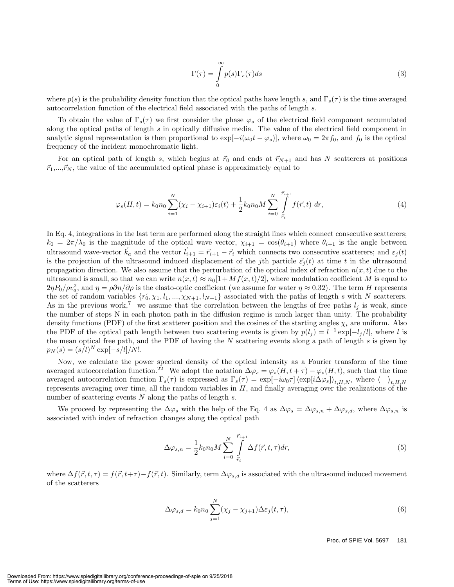$$
\Gamma(\tau) = \int_{0}^{\infty} p(s) \Gamma_s(\tau) ds \tag{3}
$$

where  $p(s)$  is the probability density function that the optical paths have length s, and  $\Gamma_s(\tau)$  is the time averaged autocorrelation function of the electrical field associated with the paths of length s.

To obtain the value of  $\Gamma_s(\tau)$  we first consider the phase  $\varphi_s$  of the electrical field component accumulated along the optical paths of length s in optically diffusive media. The value of the electrical field component in analytic signal representation is then proportional to  $\exp[-i(\omega_0 t - \varphi_s)]$ , where  $\omega_0 = 2\pi f_0$ , and  $f_0$  is the optical frequency of the incident monochromatic light.

For an optical path of length s, which begins at  $\vec{r}_0$  and ends at  $\vec{r}_{N+1}$  and has N scatterers at positions  $\vec{r}_1,...,\vec{r}_N$ , the value of the accumulated optical phase is approximately equal to

$$
\varphi_s(H,t) = k_0 n_0 \sum_{i=1}^N (\chi_i - \chi_{i+1}) \varepsilon_i(t) + \frac{1}{2} k_0 n_0 M \sum_{i=0}^N \int_{\vec{r}_i}^{\vec{r}_{i+1}} f(\vec{r},t) \, dr,\tag{4}
$$

In Eq. 4, integrations in the last term are performed along the straight lines which connect consecutive scatterers;  $k_0 = 2\pi/\lambda_0$  is the magnitude of the optical wave vector,  $\chi_{i+1} = \cos(\theta_{i+1})$  where  $\theta_{i+1}$  is the angle between ultrasound wave-vector  $\vec{k}_a$  and the vector  $\vec{l}_{i+1} = \vec{r}_{i+1} - \vec{r}_i$  which connects two consecutive scatterers; and  $\varepsilon_j(t)$ is the projection of the ultrasound induced displacement of the jth particle  $\vec{\varepsilon}_i(t)$  at time t in the ultrasound propagation direction. We also assume that the perturbation of the optical index of refraction  $n(x, t)$  due to the ultrasound is small, so that we can write  $n(x, t) \approx n_0[1 + Mf(x, t)/2]$ , where modulation coefficient M is equal to  $2\eta P_0/\rho v_a^2$ , and  $\eta = \rho \partial n/\partial \rho$  is the elasto-optic coefficient (we assume for water  $\eta \approx 0.32$ ). The term H represents the set of random variables  $\{\vec{r_0}, \chi_1, l_1, ..., \chi_{N+1}, l_{N+1}\}$  associated with the paths of length s with N scatterers. As in the previous work,<sup>7</sup> we assume that the correlation between the lengths of free paths  $l_j$  is weak, since the number of steps N in each photon path in the diffusion regime is much larger than unity. The probability density functions (PDF) of the first scatterer position and the cosines of the starting angles  $\chi_i$  are uniform. Also the PDF of the optical path length between two scattering events is given by  $p(l_i) = l^{-1} \exp[-l_i/l]$ , where l is the mean optical free path, and the PDF of having the  $N$  scattering events along a path of length  $s$  is given by  $p_N(s)=(s/l)^N \exp[-s/l]/N!$ .

Now, we calculate the power spectral density of the optical intensity as a Fourier transform of the time averaged autocorrelation function.<sup>22</sup> We adopt the notation  $\Delta \varphi_s = \varphi_s(H, t + \tau) - \varphi_s(H, t)$ , such that the time averaged autocorrelation function  $\Gamma_s(\tau)$  is expressed as  $\Gamma_s(\tau) = \exp[-i\omega_0\tau] \langle \exp[i\Delta\varphi_s]\rangle_{t,H,N}$ , where  $\langle \rangle_{t,H,N}$ represents averaging over time, all the random variables in  $H$ , and finally averaging over the realizations of the number of scattering events  $N$  along the paths of length  $s$ .

We proceed by representing the  $\Delta\varphi_s$  with the help of the Eq. 4 as  $\Delta\varphi_s = \Delta\varphi_{s,n} + \Delta\varphi_{s,d}$ , where  $\Delta\varphi_{s,n}$  is associated with index of refraction changes along the optical path

$$
\Delta \varphi_{s,n} = \frac{1}{2} k_0 n_0 M \sum_{i=0}^{N} \int\limits_{\vec{r}_i}^{\vec{r}_{i+1}} \Delta f(\vec{r}, t, \tau) dr,\tag{5}
$$

where  $\Delta f(\vec{r}, t, \tau) = f(\vec{r}, t + \tau) - f(\vec{r}, t)$ . Similarly, term  $\Delta \varphi_{s,d}$  is associated with the ultrasound induced movement of the scatterers

$$
\Delta \varphi_{s,d} = k_0 n_0 \sum_{j=1}^N (\chi_j - \chi_{j+1}) \Delta \varepsilon_j(t, \tau), \tag{6}
$$

Proc. of SPIE Vol. 5697 181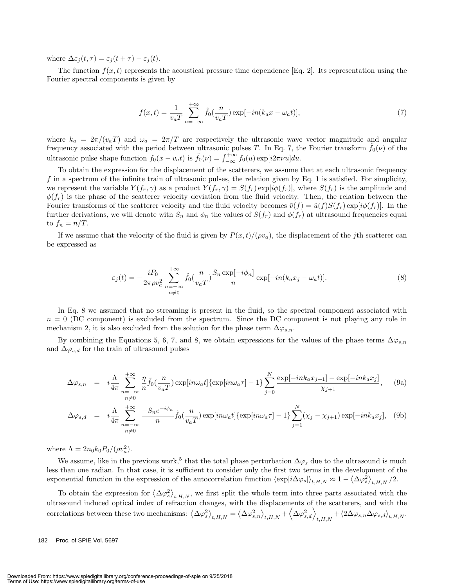where  $\Delta \varepsilon_i(t, \tau) = \varepsilon_i(t + \tau) - \varepsilon_i(t)$ .

The function  $f(x, t)$  represents the acoustical pressure time dependence [Eq. 2]. Its representation using the Fourier spectral components is given by

$$
f(x,t) = \frac{1}{v_a T} \sum_{n=-\infty}^{+\infty} \tilde{f}_0(\frac{n}{v_a T}) \exp[-in(k_a x - \omega_a t)],\tag{7}
$$

where  $k_a = 2\pi/(v_a T)$  and  $\omega_a = 2\pi/T$  are respectively the ultrasonic wave vector magnitude and angular frequency associated with the period between ultrasonic pulses T. In Eq. 7, the Fourier transform  $\tilde{f}_0(\nu)$  of the ultrasonic pulse shape function  $f_0(x - v_a t)$  is  $\tilde{f}_0(\nu) = \int_{-\infty}^{+\infty} f_0(u) \exp[i2\pi\nu u] du$ .

To obtain the expression for the displacement of the scatterers, we assume that at each ultrasonic frequency f in a spectrum of the infinite train of ultrasonic pulses, the relation given by Eq. 1 is satisfied. For simplicity, we represent the variable  $Y(f_r, \gamma)$  as a product  $Y(f_r, \gamma) = S(f_r) \exp[i\phi(f_r)]$ , where  $S(f_r)$  is the amplitude and  $\phi(f_r)$  is the phase of the scatterer velocity deviation from the fluid velocity. Then, the relation between the Fourier transforms of the scatterer velocity and the fluid velocity becomes  $\tilde{v}(f)=\tilde{u}(f)S(f_r)\exp[i\phi(f_r)]$ . In the further derivations, we will denote with  $S_n$  and  $\phi_n$  the values of  $S(f_r)$  and  $\phi(f_r)$  at ultrasound frequencies equal to  $f_n = n/T$ .

If we assume that the velocity of the fluid is given by  $P(x,t)/(\rho v_a)$ , the displacement of the jth scatterer can be expressed as

$$
\varepsilon_j(t) = -\frac{iP_0}{2\pi\rho v_a^2} \sum_{\substack{n=-\infty\\n\neq 0}}^{+\infty} \tilde{f}_0(\frac{n}{v_aT}) \frac{S_n \exp[-i\phi_n]}{n} \exp[-in(k_a x_j - \omega_a t)].
$$
\n(8)

In Eq. 8 we assumed that no streaming is present in the fluid, so the spectral component associated with  $n = 0$  (DC component) is excluded from the spectrum. Since the DC component is not playing any role in mechanism 2, it is also excluded from the solution for the phase term  $\Delta \varphi_{s,n}$ .

By combining the Equations 5, 6, 7, and 8, we obtain expressions for the values of the phase terms  $\Delta\varphi_{s,n}$ and  $\Delta\varphi_{s,d}$  for the train of ultrasound pulses

$$
\Delta\varphi_{s,n} = i\frac{\Lambda}{4\pi} \sum_{\substack{n=-\infty\\n\neq 0}}^{\infty} \frac{\eta}{n} \tilde{f}_0(\frac{n}{v_a T}) \exp[i n\omega_a t] \{\exp[i n\omega_a \tau] - 1\} \sum_{j=0}^N \frac{\exp[-i n k_a x_{j+1}] - \exp[-i n k_a x_j]}{\chi_{j+1}}, \quad (9a)
$$

$$
\Delta \varphi_{s,d} = i \frac{\Lambda}{4\pi} \sum_{\substack{n=-\infty\\n\neq 0}}^{+\infty} \frac{-S_n e^{-i\phi_n}}{n} \tilde{f}_0(\frac{n}{v_a T}) \exp[i n\omega_a t] \{ \exp[i n\omega_a \tau] - 1 \} \sum_{j=1}^N (\chi_j - \chi_{j+1}) \exp[-i n k_a x_j], \quad (9b)
$$

where  $\Lambda = 2n_0k_0P_0/(\rho v_a^2)$ .

We assume, like in the previous work,<sup>5</sup> that the total phase perturbation  $\Delta\varphi_s$  due to the ultrasound is much less than one radian. In that case, it is sufficient to consider only the first two terms in the development of the exponential function in the expression of the autocorrelation function  $\langle \exp[i\Delta\varphi_s]\rangle_{t,H,N} \approx 1 - \langle \Delta\varphi_s^2 \rangle_{t,H,N}/2$ .

To obtain the expression for  $\langle \Delta \varphi_s^2 \rangle_{t,H,N}$ , we first split the whole term into three parts associated with the ultrasound induced optical index of refraction changes, with the displacements of the scatterers, and with the  $\langle \Delta \varphi_s^2 \rangle_{t,H,N} = \langle \Delta \varphi_{s,n}^2 \rangle_{t,H,N} + \langle \Delta \varphi_{s,a}^2 \rangle_{t,H,N} + \langle 2\Delta \varphi_{s,n} \Delta \varphi_{s,a} \rangle_{t,H,N}.$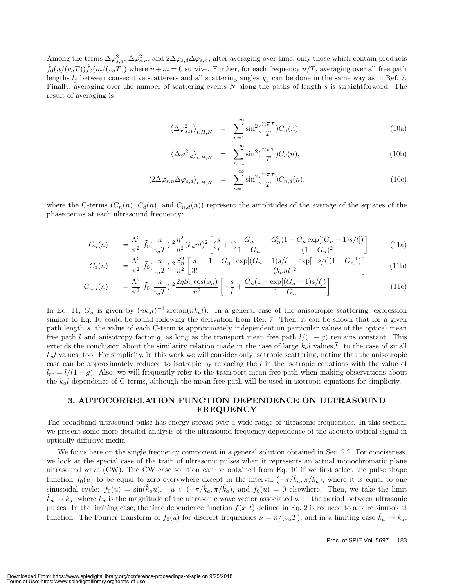Among the terms  $\Delta\varphi_{s,d}^2$ ,  $\Delta\varphi_{s,n}^2$ , and  $2\Delta\varphi_{s,d}\Delta\varphi_{s,n}$ , after averaging over time, only those which contain products  $\hat{f}_0(n/(v_aT))\hat{f}_0(m/(v_aT))$  where  $n+m=0$  survive. Further, for each frequency  $n/T$ , averaging over all free path lengths  $l_j$  between consecutive scatterers and all scattering angles  $\chi_j$  can be done in the same way as in Ref. 7. Finally, averaging over the number of scattering events  $N$  along the paths of length  $s$  is straightforward. The result of averaging is

$$
\left\langle \Delta \varphi_{s,n}^2 \right\rangle_{t,H,N} = \sum_{n=1}^{+\infty} \sin^2(\frac{n\pi\tau}{T}) C_n(n), \tag{10a}
$$

$$
\left\langle \Delta \varphi_{s,d}^2 \right\rangle_{t,H,N} = \sum_{n=1}^{+\infty} \sin^2(\frac{n\pi\tau}{T}) C_d(n), \tag{10b}
$$

$$
\langle 2\Delta\varphi_{s,n}\Delta\varphi_{s,d} \rangle_{t,H,N} = \sum_{n=1}^{+\infty} \sin^2(\frac{n\pi\tau}{T}) C_{n,d}(n), \qquad (10c)
$$

where the C-terms  $(C_n(n), C_d(n))$ , and  $C_{n,d}(n)$  represent the amplitudes of the average of the squares of the phase terms at each ultrasound frequency:

$$
C_n(n) = \frac{\Lambda^2}{\pi^2} |\tilde{f}_0(\frac{n}{v_a T})|^2 \frac{\eta^2}{n^2} (k_a n l)^2 \left[ (\frac{s}{l} + 1) \frac{G_n}{1 - G_n} - \frac{G_n^2 (1 - G_n \exp[(G_n - 1)s/l])}{(1 - G_n)^2} \right]
$$
(11a)

$$
C_d(n) = \frac{\Lambda^2}{\pi^2} |\tilde{f}_0(\frac{n}{v_a T})|^2 \frac{S_n^2}{n^2} \left[ \frac{s}{3l} - \frac{1 - G_n^{-1} \exp[(G_n - 1)s/l] - \exp[-s/l](1 - G_n^{-1})}{(k_a n l)^2} \right]
$$
(11b)

$$
C_{n,d}(n) = \frac{\Lambda^2}{\pi^2} |\tilde{f}_0(\frac{n}{v_a T})|^2 \frac{2\eta S_n \cos(\phi_n)}{n^2} \left[ -\frac{s}{l} + \frac{G_n (1 - \exp[(G_n - 1)s/l])}{1 - G_n} \right].
$$
 (11c)

In Eq. 11,  $G_n$  is given by  $(nk_a l)^{-1}$  arctan $(nk_a l)$ . In a general case of the anisotropic scattering, expression similar to Eq. 10 could be found following the derivation from Ref. 7. Then, it can be shown that for a given path length s, the value of each C-term is approximately independent on particular values of the optical mean free path l and anisotropy factor g, as long as the transport mean free path  $l/(1-g)$  remains constant. This extends the conclusion about the similarity relation made in the case of large  $k_a l$  values,<sup>7</sup> to the case of small  $k<sub>a</sub>l$  values, too. For simplicity, in this work we will consider only isotropic scattering, noting that the anisotropic case can be approximately reduced to isotropic by replacing the l in the isotropic equations with the value of  $l_{tr} = l/(1-g)$ . Also, we will frequently refer to the transport mean free path when making observations about the  $k_a l$  dependence of C-terms, although the mean free path will be used in isotropic equations for simplicity.

#### **3. AUTOCORRELATION FUNCTION DEPENDENCE ON ULTRASOUND FREQUENCY**

The broadband ultrasound pulse has energy spread over a wide range of ultrasonic frequencies. In this section, we present some more detailed analysis of the ultrasound frequency dependence of the acousto-optical signal in optically diffusive media.

We focus here on the single frequency component in a general solution obtained in Sec. 2.2. For conciseness, we look at the special case of the train of ultrasonic pulses when it represents an actual monochromatic plane ultrasound wave (CW). The CW case solution can be obtained from Eq. 10 if we first select the pulse shape function  $f_0(u)$  to be equal to zero everywhere except in the interval  $(-\pi/\hat{k}_a, \pi/\hat{k}_a)$ , where it is equal to one sinusoidal cycle:  $f_0(u) = \sin(\hat{k}_a u)$ ,  $u \in (-\pi/\hat{k}_a, \pi/\hat{k}_a)$ , and  $f_0(u) = 0$  elsewhere. Then, we take the limit  $\hat{k}_a \to k_a$ , where  $k_a$  is the magnitude of the ultrasonic wave vector associated with the period between ultrasonic pulses. In the limiting case, the time dependence function  $f(x, t)$  defined in Eq. 2 is reduced to a pure sinusoidal function. The Fourier transform of  $f_0(u)$  for discreet frequencies  $\nu = n/(v_a T)$ , and in a limiting case  $\hat{k}_a \to k_a$ ,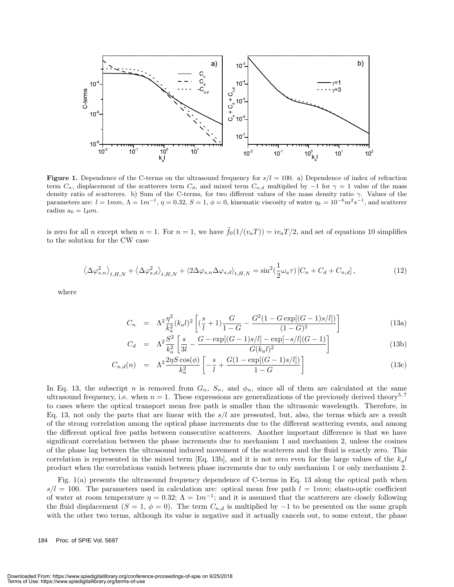

**Figure 1.** Dependence of the C-terms on the ultrasound frequency for  $s/l = 100$ . a) Dependence of index of refraction term  $C_n$ , displacement of the scatterers term  $C_d$ , and mixed term  $C_{n,d}$  multiplied by  $-1$  for  $\gamma = 1$  value of the mass density ratio of scatterers. b) Sum of the C-terms, for two different values of the mass density ratio  $\gamma$ . Values of the parameters are:  $l = 1mm$ ,  $\Lambda = 1m^{-1}$ ,  $\eta = 0.32$ ,  $S = 1$ ,  $\phi = 0$ , kinematic viscosity of water  $\eta_k = 10^{-6}m^2s^{-1}$ , and scatterer radius  $a_0 = 1 \mu m$ .

is zero for all n except when  $n = 1$ . For  $n = 1$ , we have  $\tilde{f}_0(1/(v_aT)) = iv_aT/2$ , and set of equations 10 simplifies to the solution for the CW case

$$
\left\langle \Delta \varphi_{s,n}^2 \right\rangle_{t,H,N} + \left\langle \Delta \varphi_{s,d}^2 \right\rangle_{t,H,N} + \left\langle 2\Delta \varphi_{s,n} \Delta \varphi_{s,d} \right\rangle_{t,H,N} = \sin^2(\frac{1}{2}\omega_a \tau) \left[ C_n + C_d + C_{n,d} \right],\tag{12}
$$

where

$$
C_n = \Lambda^2 \frac{\eta^2}{k_a^2} (k_a l)^2 \left[ (\frac{s}{l} + 1) \frac{G}{1 - G} - \frac{G^2 (1 - G \exp[(G - 1)s/l])}{(1 - G)^2} \right]
$$
(13a)

$$
C_d = \Lambda^2 \frac{S^2}{k_a^2} \left[ \frac{s}{3l} - \frac{G - \exp[(G-1)s/l] - \exp[-s/l](G-1)}{G(k_a l)^2} \right]
$$
(13b)

$$
C_{n,d}(n) = \Lambda^2 \frac{2\eta S \cos(\phi)}{k_a^2} \left[ -\frac{s}{l} + \frac{G(1 - \exp[(G-1)s/l])}{1 - G} \right]
$$
(13c)

In Eq. 13, the subscript n is removed from  $G_n$ ,  $S_n$ , and  $\phi_n$ , since all of them are calculated at the same ultrasound frequency, i.e. when  $n = 1$ . These expressions are generalizations of the previously derived theory<sup>5,7</sup> to cases where the optical transport mean free path is smaller than the ultrasonic wavelength. Therefore, in Eq. 13, not only the parts that are linear with the  $s/l$  are presented, but, also, the terms which are a result of the strong correlation among the optical phase increments due to the different scattering events, and among the different optical free paths between consecutive scatterers. Another important difference is that we have significant correlation between the phase increments due to mechanism 1 and mechanism 2, unless the cosines of the phase lag between the ultrasound induced movement of the scatterers and the fluid is exactly zero. This correlation is represented in the mixed term [Eq. 13b], and it is not zero even for the large values of the  $k_a l$ product when the correlations vanish between phase increments due to only mechanism 1 or only mechanism 2.

Fig. 1(a) presents the ultrasound frequency dependence of C-terms in Eq. 13 along the optical path when  $s/l = 100$ . The parameters used in calculation are: optical mean free path  $l = 1mm$ ; elasto-optic coefficient of water at room temperature  $\eta = 0.32$ ;  $\Lambda = 1m^{-1}$ ; and it is assumed that the scatterers are closely following the fluid displacement (S = 1,  $\phi = 0$ ). The term  $C_{n,d}$  is multiplied by -1 to be presented on the same graph with the other two terms, although its value is negative and it actually cancels out, to some extent, the phase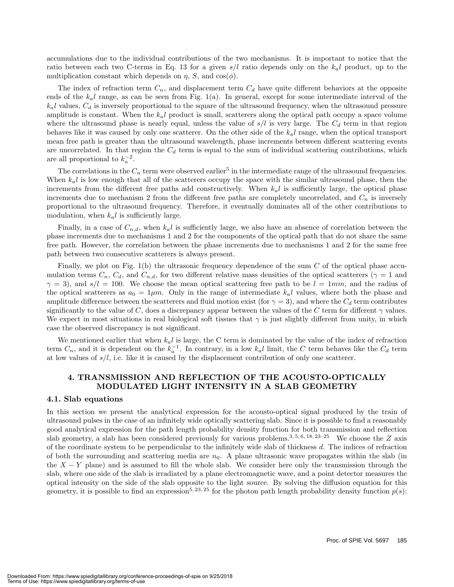accumulations due to the individual contributions of the two mechanisms. It is important to notice that the ratio between each two C-terms in Eq. 13 for a given  $s/l$  ratio depends only on the  $k<sub>a</sub>l$  product, up to the multiplication constant which depends on  $\eta$ , S, and cos( $\phi$ ).

The index of refraction term  $C_n$ , and displacement term  $C_d$  have quite different behaviors at the opposite ends of the  $k<sub>a</sub>l$  range, as can be seen from Fig. 1(a). In general, except for some intermediate interval of the  $k<sub>a</sub>l$  values,  $C<sub>d</sub>$  is inversely proportional to the square of the ultrasound frequency, when the ultrasound pressure amplitude is constant. When the  $k_a l$  product is small, scatterers along the optical path occupy a space volume where the ultrasound phase is nearly equal, unless the value of  $s/l$  is very large. The  $C_d$  term in that region behaves like it was caused by only one scatterer. On the other side of the  $k<sub>a</sub>l$  range, when the optical transport mean free path is greater than the ultrasound wavelength, phase increments between different scattering events are uncorrelated. In that region the  $C_d$  term is equal to the sum of individual scattering contributions, which are all proportional to  $k_a^{-2}$ .

The correlations in the  $C_n$  term were observed earlier<sup>5</sup> in the intermediate range of the ultrasound frequencies. When  $k_a l$  is low enough that all of the scatterers occupy the space with the similar ultrasound phase, then the increments from the different free paths add constructively. When  $k<sub>a</sub>l$  is sufficiently large, the optical phase increments due to mechanism 2 from the different free paths are completely uncorrelated, and  $C_n$  is inversely proportional to the ultrasound frequency. Therefore, it eventually dominates all of the other contributions to modulation, when  $k_a l$  is sufficiently large.

Finally, in a case of  $C_{n,d}$ , when  $k_q l$  is sufficiently large, we also have an absence of correlation between the phase increments due to mechanisms 1 and 2 for the components of the optical path that do not share the same free path. However, the correlation between the phase increments due to mechanisms 1 and 2 for the same free path between two consecutive scatterers is always present.

Finally, we plot on Fig.  $1(b)$  the ultrasonic frequency dependence of the sum C of the optical phase accumulation terms  $C_n$ ,  $C_d$ , and  $C_{n,d}$ , for two different relative mass densities of the optical scatterers ( $\gamma = 1$  and  $\gamma = 3$ , and  $s/l = 100$ . We choose the mean optical scattering free path to be  $l = 1mm$ , and the radius of the optical scatterers as  $a_0 = 1 \mu m$ . Only in the range of intermediate  $k_a l$  values, where both the phase and amplitude difference between the scatterers and fluid motion exist (for  $\gamma = 3$ ), and where the  $C_d$  term contributes significantly to the value of C, does a discrepancy appear between the values of the C term for different  $\gamma$  values. We expect in most situations in real biological soft tissues that  $\gamma$  is just slightly different from unity, in which case the observed discrepancy is not significant.

We mentioned earlier that when  $k_a l$  is large, the C term is dominated by the value of the index of refraction term  $C_n$ , and it is dependent on the  $k_a^{-1}$ . In contrary, in a low  $k_a l$  limit, the C term behaves like the  $C_d$  term at low values of  $s/l$ , i.e. like it is caused by the displacement contribution of only one scatterer.

#### **4. TRANSMISSION AND REFLECTION OF THE ACOUSTO-OPTICALLY MODULATED LIGHT INTENSITY IN A SLAB GEOMETRY**

#### **4.1. Slab equations**

In this section we present the analytical expression for the acousto-optical signal produced by the train of ultrasound pulses in the case of an infinitely wide optically scattering slab. Since it is possible to find a reasonably good analytical expression for the path length probability density function for both transmission and reflection slab geometry, a slab has been considered previously for various problems.<sup>3, 5, 6, 18, 23–25</sup> We choose the Z axis of the coordinate system to be perpendicular to the infinitely wide slab of thickness d. The indices of refraction of both the surrounding and scattering media are  $n_0$ . A plane ultrasonic wave propagates within the slab (in the  $X - Y$  plane) and is assumed to fill the whole slab. We consider here only the transmission through the slab, where one side of the slab is irradiated by a plane electromagnetic wave, and a point detector measures the optical intensity on the side of the slab opposite to the light source. By solving the diffusion equation for this geometry, it is possible to find an expression<sup>5, 23, 25</sup> for the photon path length probability density function  $p(s)$ :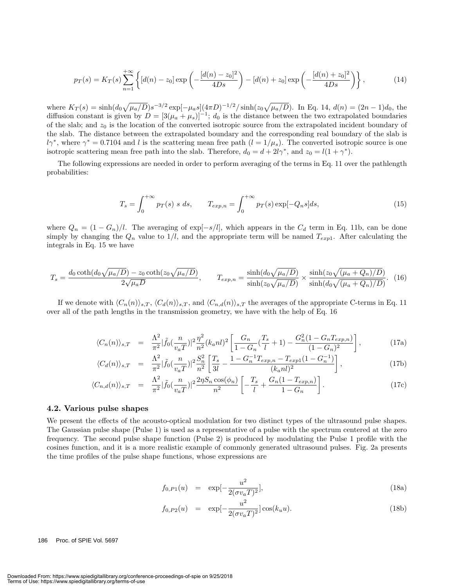$$
p_T(s) = K_T(s) \sum_{n=1}^{+\infty} \left\{ [d(n) - z_0] \exp\left(-\frac{[d(n) - z_0]^2}{4Ds}\right) - [d(n) + z_0] \exp\left(-\frac{[d(n) + z_0]^2}{4Ds}\right) \right\},\tag{14}
$$

where  $K_T(s) = \sinh((d_0\sqrt{\mu_a/D})s^{-3/2}\exp[-\mu_a s](4\pi D)^{-1/2}/\sinh(z_0\sqrt{\mu_a/D})$ . In Eq. 14,  $d(n) = (2n-1)d_0$ , the diffusion constant is given by  $D = [3(\mu_a + \mu_s)]^{-1}$ ;  $d_0$  is the distance between the two extrapolated boundaries of the slab; and  $z_0$  is the location of the converted isotropic source from the extrapolated incident boundary of the slab. The distance between the extrapolated boundary and the corresponding real boundary of the slab is  $l\gamma^*$ , where  $\gamma^* = 0.7104$  and l is the scattering mean free path  $(l = 1/\mu_s)$ . The converted isotropic source is one isotropic scattering mean free path into the slab. Therefore,  $d_0 = d + 2l\gamma^*$ , and  $z_0 = l(1 + \gamma^*)$ .

The following expressions are needed in order to perform averaging of the terms in Eq. 11 over the pathlength probabilities:

$$
T_s = \int_0^{+\infty} p_T(s) \ s \ ds, \qquad T_{exp,n} = \int_0^{+\infty} p_T(s) \exp[-Q_n s] ds, \tag{15}
$$

where  $Q_n = (1 - G_n)/l$ . The averaging of exp $[-s/l]$ , which appears in the  $C_d$  term in Eq. 11b, can be done simply by changing the  $Q_n$  value to  $1/l$ , and the appropriate term will be named  $T_{exp1}$ . After calculating the integrals in Eq. 15 we have

$$
T_s = \frac{d_0 \coth(d_0 \sqrt{\mu_a/D}) - z_0 \coth(z_0 \sqrt{\mu_a/D})}{2\sqrt{\mu_a D}}, \qquad T_{exp,n} = \frac{\sinh(d_0 \sqrt{\mu_a/D})}{\sinh(z_0 \sqrt{\mu_a/D})} \times \frac{\sinh(z_0 \sqrt{(\mu_a + Q_n)/D})}{\sinh(d_0 \sqrt{(\mu_a + Q_n)/D})}.
$$
 (16)

If we denote with  $\langle C_n(n) \rangle_{s,T}$ ,  $\langle C_d(n) \rangle_{s,T}$ , and  $\langle C_{n,d}(n) \rangle_{s,T}$  the averages of the appropriate C-terms in Eq. 11 over all of the path lengths in the transmission geometry, we have with the help of Eq. 16

$$
\langle C_n(n) \rangle_{s,T} = \frac{\Lambda^2}{\pi^2} |\tilde{f}_0(\frac{n}{v_a T})|^2 \frac{\eta^2}{n^2} (k_a n l)^2 \left[ \frac{G_n}{1 - G_n} (\frac{T_s}{l} + 1) - \frac{G_n^2 (1 - G_n T_{exp,n})}{(1 - G_n)^2} \right],
$$
(17a)

$$
\langle C_d(n) \rangle_{s,T} = \frac{\Lambda^2}{\pi^2} |\tilde{f}_0(\frac{n}{v_a T})|^2 \frac{S_n^2}{n^2} \left[ \frac{T_s}{3l} - \frac{1 - G_n^{-1} T_{exp,n} - T_{exp1}(1 - G_n^{-1})}{(k_a n l)^2} \right],
$$
\n(17b)

$$
\langle C_{n,d}(n) \rangle_{s,T} = \frac{\Lambda^2}{\pi^2} |\tilde{f}_0(\frac{n}{v_a T})|^2 \frac{2\eta S_n \cos(\phi_n)}{n^2} \left[ -\frac{T_s}{l} + \frac{G_n (1 - T_{exp,n})}{1 - G_n} \right]. \tag{17c}
$$

#### **4.2. Various pulse shapes**

We present the effects of the acousto-optical modulation for two distinct types of the ultrasound pulse shapes. The Gaussian pulse shape (Pulse 1) is used as a representative of a pulse with the spectrum centered at the zero frequency. The second pulse shape function (Pulse 2) is produced by modulating the Pulse 1 profile with the cosines function, and it is a more realistic example of commonly generated ultrasound pulses. Fig. 2a presents the time profiles of the pulse shape functions, whose expressions are

$$
f_{0,P1}(u) = \exp[-\frac{u^2}{2(\sigma v_a T)^2}], \tag{18a}
$$

$$
f_{0,P2}(u) = \exp[-\frac{u^2}{2(\sigma v_a T)^2}]\cos(k_u u). \tag{18b}
$$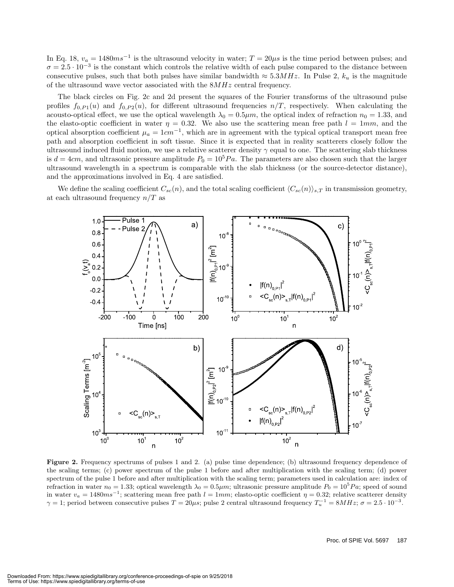In Eq. 18,  $v_a = 1480 \text{m s}^{-1}$  is the ultrasound velocity in water;  $T = 20 \mu s$  is the time period between pulses; and  $\sigma = 2.5 \cdot 10^{-3}$  is the constant which controls the relative width of each pulse compared to the distance between consecutive pulses, such that both pulses have similar bandwidth  $\approx 5.3 MHz$ . In Pulse 2,  $k_u$  is the magnitude of the ultrasound wave vector associated with the  $8MHz$  central frequency.

The black circles on Fig. 2c and 2d present the squares of the Fourier transforms of the ultrasound pulse profiles  $f_{0,P1}(u)$  and  $f_{0,P2}(u)$ , for different ultrasound frequencies  $n/T$ , respectively. When calculating the acousto-optical effect, we use the optical wavelength  $\lambda_0 = 0.5 \mu m$ , the optical index of refraction  $n_0 = 1.33$ , and the elasto-optic coefficient in water  $\eta = 0.32$ . We also use the scattering mean free path  $l = 1mm$ , and the optical absorption coefficient  $\mu_a = 1 \text{cm}^{-1}$ , which are in agreement with the typical optical transport mean free path and absorption coefficient in soft tissue. Since it is expected that in reality scatterers closely follow the ultrasound induced fluid motion, we use a relative scatterer density  $\gamma$  equal to one. The scattering slab thickness is  $d = 4cm$ , and ultrasonic pressure amplitude  $P_0 = 10^5 Pa$ . The parameters are also chosen such that the larger ultrasound wavelength in a spectrum is comparable with the slab thickness (or the source-detector distance), and the approximations involved in Eq. 4 are satisfied.

We define the scaling coefficient  $C_{sc}(n)$ , and the total scaling coefficient  $\langle C_{sc}(n)\rangle_{s,T}$  in transmission geometry, at each ultrasound frequency  $n/T$  as



**Figure 2.** Frequency spectrums of pulses 1 and 2. (a) pulse time dependence; (b) ultrasound frequency dependence of the scaling terms; (c) power spectrum of the pulse 1 before and after multiplication with the scaling term; (d) power spectrum of the pulse 1 before and after multiplication with the scaling term; parameters used in calculation are: index of refraction in water  $n_0 = 1.33$ ; optical wavelength  $\lambda_0 = 0.5 \mu m$ ; ultrasonic pressure amplitude  $P_0 = 10^5 Pa$ ; speed of sound in water  $v_a = 1480 \text{m s}^{-1}$ ; scattering mean free path  $l = 1 \text{m}$ ; elasto-optic coefficient  $\eta = 0.32$ ; relative scatterer density  $\gamma = 1$ ; period between consecutive pulses  $T = 20\mu s$ ; pulse 2 central ultrasound frequency  $T_u^{-1} = 8MHz$ ;  $\sigma = 2.5 \cdot 10^{-3}$ .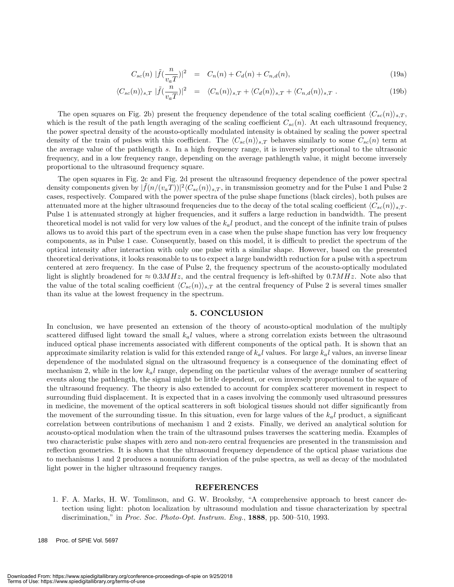$$
C_{sc}(n) |\tilde{f}(\frac{n}{v_a T})|^2 = C_n(n) + C_d(n) + C_{n,d}(n),
$$
\n(19a)

$$
\langle C_{sc}(n) \rangle_{s,T} \left| \tilde{f}(\frac{n}{v_a T}) \right|^2 = \langle C_n(n) \rangle_{s,T} + \langle C_d(n) \rangle_{s,T} + \langle C_{n,d}(n) \rangle_{s,T} . \tag{19b}
$$

The open squares on Fig. 2b) present the frequency dependence of the total scaling coefficient  $\langle C_{sc}(n)\rangle_{s,T}$ , which is the result of the path length averaging of the scaling coefficient  $C_{sc}(n)$ . At each ultrasound frequency, the power spectral density of the acousto-optically modulated intensity is obtained by scaling the power spectral density of the train of pulses with this coefficient. The  $\langle C_{sc}(n)\rangle_{s,T}$  behaves similarly to some  $C_{sc}(n)$  term at the average value of the pathlength s. In a high frequency range, it is inversely proportional to the ultrasonic frequency, and in a low frequency range, depending on the average pathlength value, it might become inversely proportional to the ultrasound frequency square.

The open squares in Fig. 2c and Fig. 2d present the ultrasound frequency dependence of the power spectral density components given by  $|\tilde{f}(n/(v_aT))|^2\langle C_{sc}(n)\rangle_{s,T}$ , in transmission geometry and for the Pulse 1 and Pulse 2 cases, respectively. Compared with the power spectra of the pulse shape functions (black circles), both pulses are attenuated more at the higher ultrasound frequencies due to the decay of the total scaling coefficient  $\langle C_{sc}(n)\rangle_{s,T}$ . Pulse 1 is attenuated strongly at higher frequencies, and it suffers a large reduction in bandwidth. The present theoretical model is not valid for very low values of the  $k<sub>a</sub>l$  product, and the concept of the infinite train of pulses allows us to avoid this part of the spectrum even in a case when the pulse shape function has very low frequency components, as in Pulse 1 case. Consequently, based on this model, it is difficult to predict the spectrum of the optical intensity after interaction with only one pulse with a similar shape. However, based on the presented theoretical derivations, it looks reasonable to us to expect a large bandwidth reduction for a pulse with a spectrum centered at zero frequency. In the case of Pulse 2, the frequency spectrum of the acousto-optically modulated light is slightly broadened for  $\approx 0.3MHz$ , and the central frequency is left-shifted by  $0.7MHz$ . Note also that the value of the total scaling coefficient  $\langle C_{sc}(n)\rangle_{s,T}$  at the central frequency of Pulse 2 is several times smaller than its value at the lowest frequency in the spectrum.

#### **5. CONCLUSION**

In conclusion, we have presented an extension of the theory of acousto-optical modulation of the multiply scattered diffused light toward the small  $k<sub>a</sub>l$  values, where a strong correlation exists between the ultrasound induced optical phase increments associated with different components of the optical path. It is shown that an approximate similarity relation is valid for this extended range of  $k<sub>a</sub>l$  values. For large  $k<sub>a</sub>l$  values, an inverse linear dependence of the modulated signal on the ultrasound frequency is a consequence of the dominating effect of mechanism 2, while in the low  $k<sub>a</sub>l$  range, depending on the particular values of the average number of scattering events along the pathlength, the signal might be little dependent, or even inversely proportional to the square of the ultrasound frequency. The theory is also extended to account for complex scatterer movement in respect to surrounding fluid displacement. It is expected that in a cases involving the commonly used ultrasound pressures in medicine, the movement of the optical scatterers in soft biological tissues should not differ significantly from the movement of the surrounding tissue. In this situation, even for large values of the  $k_a l$  product, a significant correlation between contributions of mechanism 1 and 2 exists. Finally, we derived an analytical solution for acousto-optical modulation when the train of the ultrasound pulses traverses the scattering media. Examples of two characteristic pulse shapes with zero and non-zero central frequencies are presented in the transmission and reflection geometries. It is shown that the ultrasound frequency dependence of the optical phase variations due to mechanisms 1 and 2 produces a nonuniform deviation of the pulse spectra, as well as decay of the modulated light power in the higher ultrasound frequency ranges.

#### **REFERENCES**

1. F. A. Marks, H. W. Tomlinson, and G. W. Brooksby, "A comprehensive approach to brest cancer detection using light: photon localization by ultrasound modulation and tissue characterization by spectral discrimination," in *Proc. Soc. Photo-Opt. Instrum. Eng.*, **1888**, pp. 500–510, 1993.